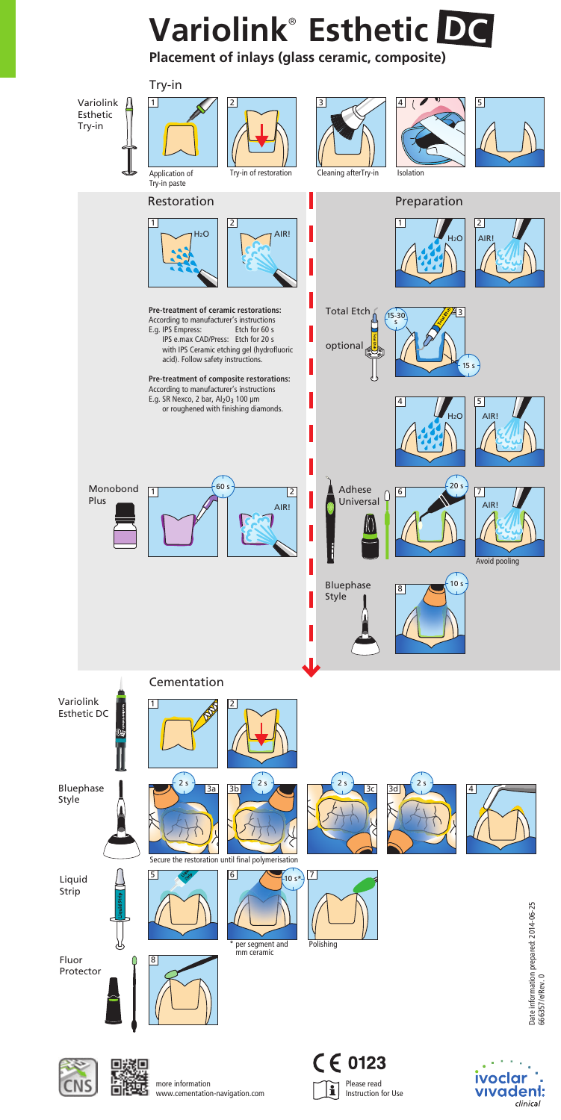

more information www.cementation-navigation.com Please read Instruction for Use